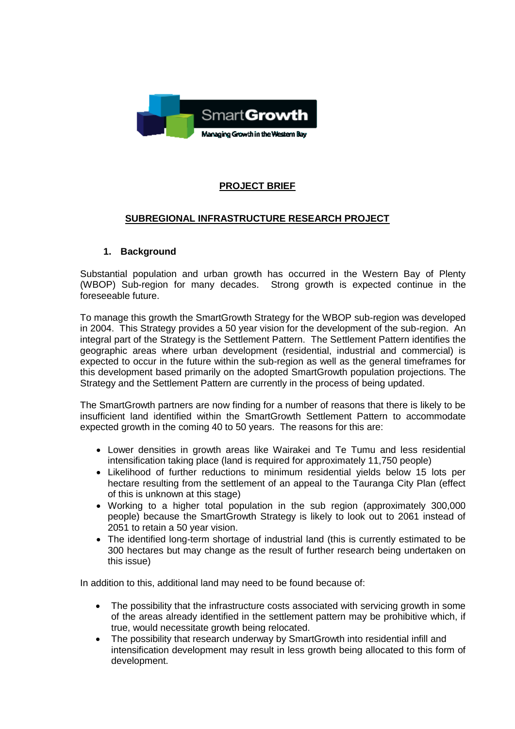

## **PROJECT BRIEF**

#### **SUBREGIONAL INFRASTRUCTURE RESEARCH PROJECT**

#### **1. Background**

Substantial population and urban growth has occurred in the Western Bay of Plenty (WBOP) Sub-region for many decades. Strong growth is expected continue in the foreseeable future.

To manage this growth the SmartGrowth Strategy for the WBOP sub-region was developed in 2004. This Strategy provides a 50 year vision for the development of the sub-region. An integral part of the Strategy is the Settlement Pattern. The Settlement Pattern identifies the geographic areas where urban development (residential, industrial and commercial) is expected to occur in the future within the sub-region as well as the general timeframes for this development based primarily on the adopted SmartGrowth population projections. The Strategy and the Settlement Pattern are currently in the process of being updated.

The SmartGrowth partners are now finding for a number of reasons that there is likely to be insufficient land identified within the SmartGrowth Settlement Pattern to accommodate expected growth in the coming 40 to 50 years. The reasons for this are:

- Lower densities in growth areas like Wairakei and Te Tumu and less residential intensification taking place (land is required for approximately 11,750 people)
- Likelihood of further reductions to minimum residential yields below 15 lots per hectare resulting from the settlement of an appeal to the Tauranga City Plan (effect of this is unknown at this stage)
- Working to a higher total population in the sub region (approximately 300,000 people) because the SmartGrowth Strategy is likely to look out to 2061 instead of 2051 to retain a 50 year vision.
- The identified long-term shortage of industrial land (this is currently estimated to be 300 hectares but may change as the result of further research being undertaken on this issue)

In addition to this, additional land may need to be found because of:

- The possibility that the infrastructure costs associated with servicing growth in some of the areas already identified in the settlement pattern may be prohibitive which, if true, would necessitate growth being relocated.
- The possibility that research underway by SmartGrowth into residential infill and intensification development may result in less growth being allocated to this form of development.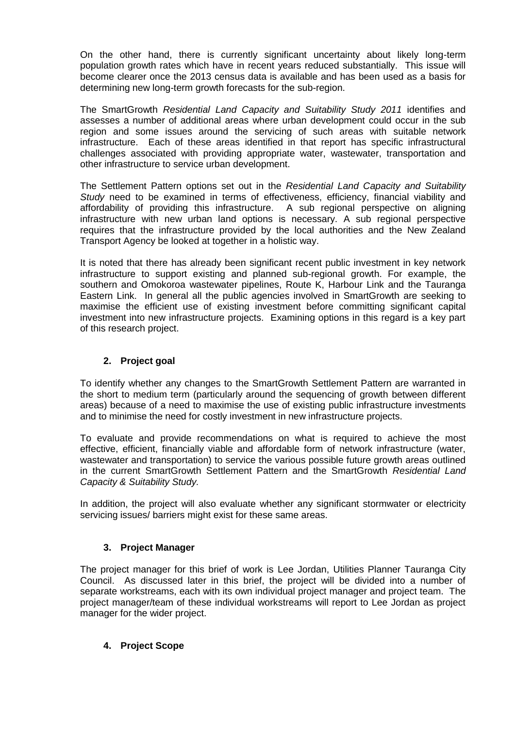On the other hand, there is currently significant uncertainty about likely long-term population growth rates which have in recent years reduced substantially. This issue will become clearer once the 2013 census data is available and has been used as a basis for determining new long-term growth forecasts for the sub-region.

The SmartGrowth *Residential Land Capacity and Suitability Study 2011* identifies and assesses a number of additional areas where urban development could occur in the sub region and some issues around the servicing of such areas with suitable network infrastructure. Each of these areas identified in that report has specific infrastructural challenges associated with providing appropriate water, wastewater, transportation and other infrastructure to service urban development.

The Settlement Pattern options set out in the *Residential Land Capacity and Suitability Study* need to be examined in terms of effectiveness, efficiency, financial viability and affordability of providing this infrastructure. A sub regional perspective on aligning infrastructure with new urban land options is necessary. A sub regional perspective requires that the infrastructure provided by the local authorities and the New Zealand Transport Agency be looked at together in a holistic way.

It is noted that there has already been significant recent public investment in key network infrastructure to support existing and planned sub-regional growth. For example, the southern and Omokoroa wastewater pipelines, Route K, Harbour Link and the Tauranga Eastern Link. In general all the public agencies involved in SmartGrowth are seeking to maximise the efficient use of existing investment before committing significant capital investment into new infrastructure projects. Examining options in this regard is a key part of this research project.

## **2. Project goal**

To identify whether any changes to the SmartGrowth Settlement Pattern are warranted in the short to medium term (particularly around the sequencing of growth between different areas) because of a need to maximise the use of existing public infrastructure investments and to minimise the need for costly investment in new infrastructure projects.

To evaluate and provide recommendations on what is required to achieve the most effective, efficient, financially viable and affordable form of network infrastructure (water, wastewater and transportation) to service the various possible future growth areas outlined in the current SmartGrowth Settlement Pattern and the SmartGrowth *Residential Land Capacity & Suitability Study.*

In addition, the project will also evaluate whether any significant stormwater or electricity servicing issues/ barriers might exist for these same areas.

## **3. Project Manager**

The project manager for this brief of work is Lee Jordan, Utilities Planner Tauranga City Council. As discussed later in this brief, the project will be divided into a number of separate workstreams, each with its own individual project manager and project team. The project manager/team of these individual workstreams will report to Lee Jordan as project manager for the wider project.

#### **4. Project Scope**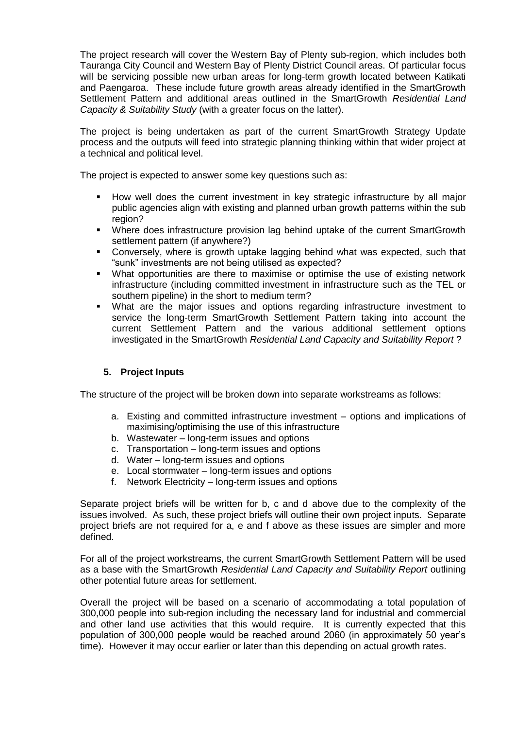The project research will cover the Western Bay of Plenty sub-region, which includes both Tauranga City Council and Western Bay of Plenty District Council areas. Of particular focus will be servicing possible new urban areas for long-term growth located between Katikati and Paengaroa. These include future growth areas already identified in the SmartGrowth Settlement Pattern and additional areas outlined in the SmartGrowth *Residential Land Capacity & Suitability Study* (with a greater focus on the latter).

The project is being undertaken as part of the current SmartGrowth Strategy Update process and the outputs will feed into strategic planning thinking within that wider project at a technical and political level.

The project is expected to answer some key questions such as:

- How well does the current investment in key strategic infrastructure by all major public agencies align with existing and planned urban growth patterns within the sub region?
- Where does infrastructure provision lag behind uptake of the current SmartGrowth settlement pattern (if anywhere?)
- Conversely, where is growth uptake lagging behind what was expected, such that "sunk" investments are not being utilised as expected?
- What opportunities are there to maximise or optimise the use of existing network infrastructure (including committed investment in infrastructure such as the TEL or southern pipeline) in the short to medium term?
- What are the major issues and options regarding infrastructure investment to service the long-term SmartGrowth Settlement Pattern taking into account the current Settlement Pattern and the various additional settlement options investigated in the SmartGrowth *Residential Land Capacity and Suitability Report* ?

#### **5. Project Inputs**

The structure of the project will be broken down into separate workstreams as follows:

- a. Existing and committed infrastructure investment options and implications of maximising/optimising the use of this infrastructure
- b. Wastewater long-term issues and options
- c. Transportation long-term issues and options
- d. Water long-term issues and options
- e. Local stormwater long-term issues and options
- f. Network Electricity long-term issues and options

Separate project briefs will be written for b, c and d above due to the complexity of the issues involved. As such, these project briefs will outline their own project inputs. Separate project briefs are not required for a, e and f above as these issues are simpler and more defined.

For all of the project workstreams, the current SmartGrowth Settlement Pattern will be used as a base with the SmartGrowth *Residential Land Capacity and Suitability Report* outlining other potential future areas for settlement.

Overall the project will be based on a scenario of accommodating a total population of 300,000 people into sub-region including the necessary land for industrial and commercial and other land use activities that this would require. It is currently expected that this population of 300,000 people would be reached around 2060 (in approximately 50 year's time). However it may occur earlier or later than this depending on actual growth rates.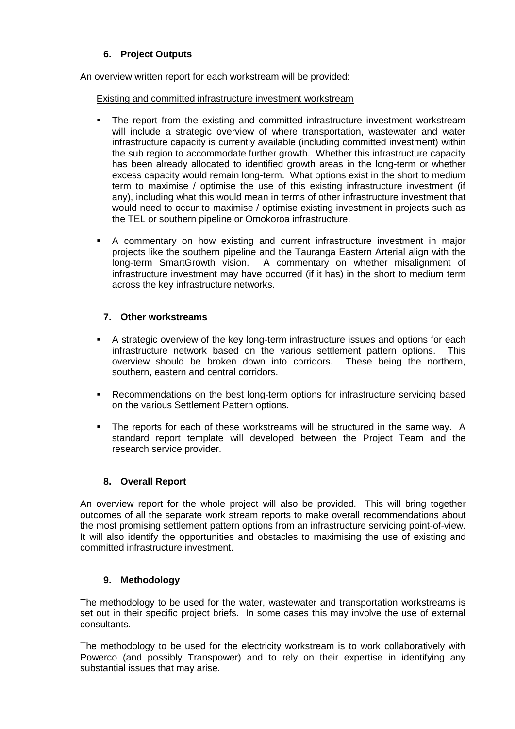## **6. Project Outputs**

An overview written report for each workstream will be provided:

Existing and committed infrastructure investment workstream

- The report from the existing and committed infrastructure investment workstream will include a strategic overview of where transportation, wastewater and water infrastructure capacity is currently available (including committed investment) within the sub region to accommodate further growth. Whether this infrastructure capacity has been already allocated to identified growth areas in the long-term or whether excess capacity would remain long-term. What options exist in the short to medium term to maximise / optimise the use of this existing infrastructure investment (if any), including what this would mean in terms of other infrastructure investment that would need to occur to maximise / optimise existing investment in projects such as the TEL or southern pipeline or Omokoroa infrastructure.
- A commentary on how existing and current infrastructure investment in major projects like the southern pipeline and the Tauranga Eastern Arterial align with the long-term SmartGrowth vision. A commentary on whether misalignment of infrastructure investment may have occurred (if it has) in the short to medium term across the key infrastructure networks.

## **7. Other workstreams**

- A strategic overview of the key long-term infrastructure issues and options for each infrastructure network based on the various settlement pattern options. This overview should be broken down into corridors. These being the northern, southern, eastern and central corridors.
- Recommendations on the best long-term options for infrastructure servicing based on the various Settlement Pattern options.
- The reports for each of these workstreams will be structured in the same way. A standard report template will developed between the Project Team and the research service provider.

## **8. Overall Report**

An overview report for the whole project will also be provided. This will bring together outcomes of all the separate work stream reports to make overall recommendations about the most promising settlement pattern options from an infrastructure servicing point-of-view. It will also identify the opportunities and obstacles to maximising the use of existing and committed infrastructure investment.

## **9. Methodology**

The methodology to be used for the water, wastewater and transportation workstreams is set out in their specific project briefs. In some cases this may involve the use of external consultants.

The methodology to be used for the electricity workstream is to work collaboratively with Powerco (and possibly Transpower) and to rely on their expertise in identifying any substantial issues that may arise.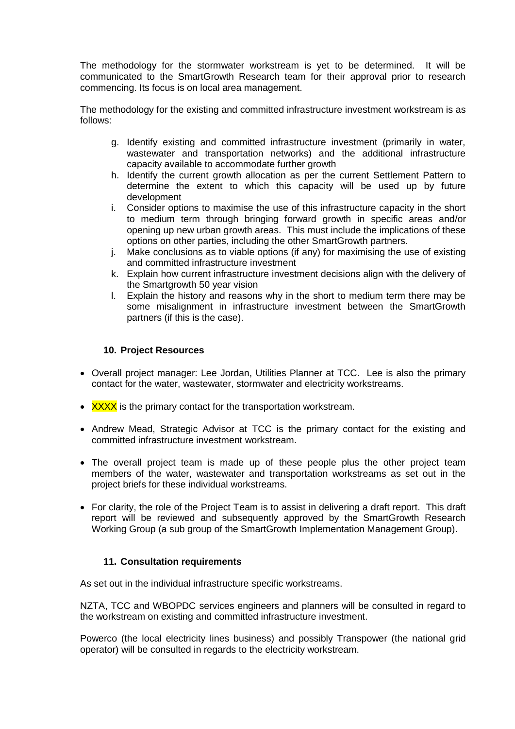The methodology for the stormwater workstream is yet to be determined. It will be communicated to the SmartGrowth Research team for their approval prior to research commencing. Its focus is on local area management.

The methodology for the existing and committed infrastructure investment workstream is as follows:

- g. Identify existing and committed infrastructure investment (primarily in water, wastewater and transportation networks) and the additional infrastructure capacity available to accommodate further growth
- h. Identify the current growth allocation as per the current Settlement Pattern to determine the extent to which this capacity will be used up by future development
- i. Consider options to maximise the use of this infrastructure capacity in the short to medium term through bringing forward growth in specific areas and/or opening up new urban growth areas. This must include the implications of these options on other parties, including the other SmartGrowth partners.
- j. Make conclusions as to viable options (if any) for maximising the use of existing and committed infrastructure investment
- k. Explain how current infrastructure investment decisions align with the delivery of the Smartgrowth 50 year vision
- l. Explain the history and reasons why in the short to medium term there may be some misalignment in infrastructure investment between the SmartGrowth partners (if this is the case).

#### **10. Project Resources**

- Overall project manager: Lee Jordan, Utilities Planner at TCC. Lee is also the primary contact for the water, wastewater, stormwater and electricity workstreams.
- $\cdot$  XXXX is the primary contact for the transportation workstream.
- Andrew Mead, Strategic Advisor at TCC is the primary contact for the existing and committed infrastructure investment workstream.
- The overall project team is made up of these people plus the other project team members of the water, wastewater and transportation workstreams as set out in the project briefs for these individual workstreams.
- For clarity, the role of the Project Team is to assist in delivering a draft report. This draft report will be reviewed and subsequently approved by the SmartGrowth Research Working Group (a sub group of the SmartGrowth Implementation Management Group).

#### **11. Consultation requirements**

As set out in the individual infrastructure specific workstreams.

NZTA, TCC and WBOPDC services engineers and planners will be consulted in regard to the workstream on existing and committed infrastructure investment.

Powerco (the local electricity lines business) and possibly Transpower (the national grid operator) will be consulted in regards to the electricity workstream.